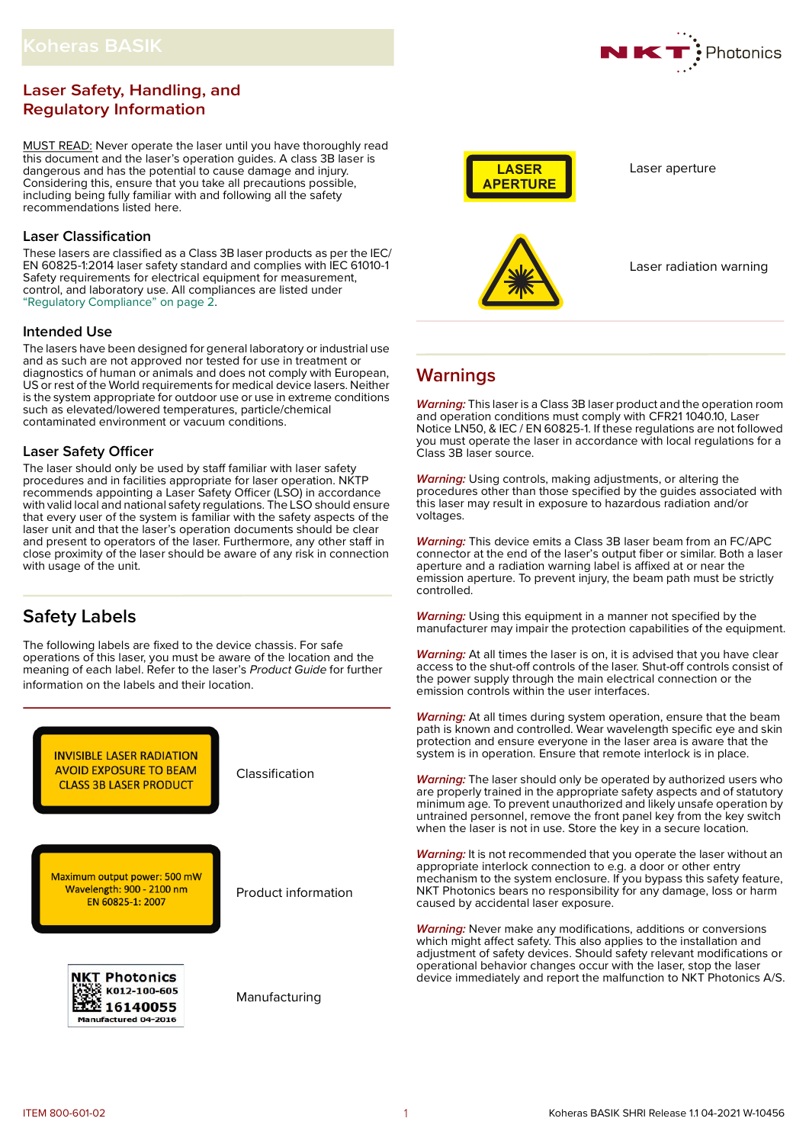# **Laser Safety, Handling, and Regulatory Information**

MUST READ: Never operate the laser until you have thoroughly read this document and the laser's operation guides. A class 3B laser is dangerous and has the potential to cause damage and injury. Considering this, ensure that you take all precautions possible, including being fully familiar with and following all the safety recommendations listed here.

# **Laser Classification**

These lasers are classified as a Class 3B laser products as per the IEC/ EN 60825-1:2014 laser safety standard and complies with IEC 61010-1 Safety requirements for electrical equipment for measurement, control, and laboratory use. All compliances are listed under ["Regulatory Compliance" on page](#page-1-0) 2.

# **Intended Use**

The lasers have been designed for general laboratory or industrial use and as such are not approved nor tested for use in treatment or diagnostics of human or animals and does not comply with European, US or rest of the World requirements for medical device lasers. Neither is the system appropriate for outdoor use or use in extreme conditions such as elevated/lowered temperatures, particle/chemical contaminated environment or vacuum conditions.

# **Laser Safety Officer**

The laser should only be used by staff familiar with laser safety procedures and in facilities appropriate for laser operation. NKTP recommends appointing a Laser Safety Officer (LSO) in accordance with valid local and national safety regulations. The LSO should ensure that every user of the system is familiar with the safety aspects of the laser unit and that the laser's operation documents should be clear and present to operators of the laser. Furthermore, any other staff in close proximity of the laser should be aware of any risk in connection with usage of the unit.

# **Safety Labels**

The following labels are fixed to the device chassis. For safe operations of this laser, you must be aware of the location and the meaning of each label. Refer to the laser's Product Guide for further information on the labels and their location.





Laser aperture



Laser radiation warning

# **Warnings**

**Warning:** This laser is a Class 3B laser product and the operation room and operation conditions must comply with CFR21 1040.10, Laser Notice LN50, & IEC / EN 60825-1. If these regulations are not followed you must operate the laser in accordance with local regulations for a Class 3B laser source.

**Warning:** Using controls, making adjustments, or altering the procedures other than those specified by the guides associated with this laser may result in exposure to hazardous radiation and/or voltages.

**Warning:** This device emits a Class 3B laser beam from an FC/APC connector at the end of the laser's output fiber or similar. Both a laser aperture and a radiation warning label is affixed at or near the emission aperture. To prevent injury, the beam path must be strictly controlled.

**Warning:** Using this equipment in a manner not specified by the manufacturer may impair the protection capabilities of the equipment.

**Warning:** At all times the laser is on, it is advised that you have clear access to the shut-off controls of the laser. Shut-off controls consist of the power supply through the main electrical connection or the emission controls within the user interfaces.

**Warning:** At all times during system operation, ensure that the beam path is known and controlled. Wear wavelength specific eye and skin protection and ensure everyone in the laser area is aware that the system is in operation. Ensure that remote interlock is in place.

**Warning:** The laser should only be operated by authorized users who are properly trained in the appropriate safety aspects and of statutory minimum age. To prevent unauthorized and likely unsafe operation by untrained personnel, remove the front panel key from the key switch when the laser is not in use. Store the key in a secure location.

Warning: It is not recommended that you operate the laser without an appropriate interlock connection to e.g. a door or other entry mechanism to the system enclosure. If you bypass this safety feature, NKT Photonics bears no responsibility for any damage, loss or harm caused by accidental laser exposure.

**Warning:** Never make any modifications, additions or conversions which might affect safety. This also applies to the installation and adjustment of safety devices. Should safety relevant modifications or operational behavior changes occur with the laser, stop the laser device immediately and report the malfunction to NKT Photonics A/S.

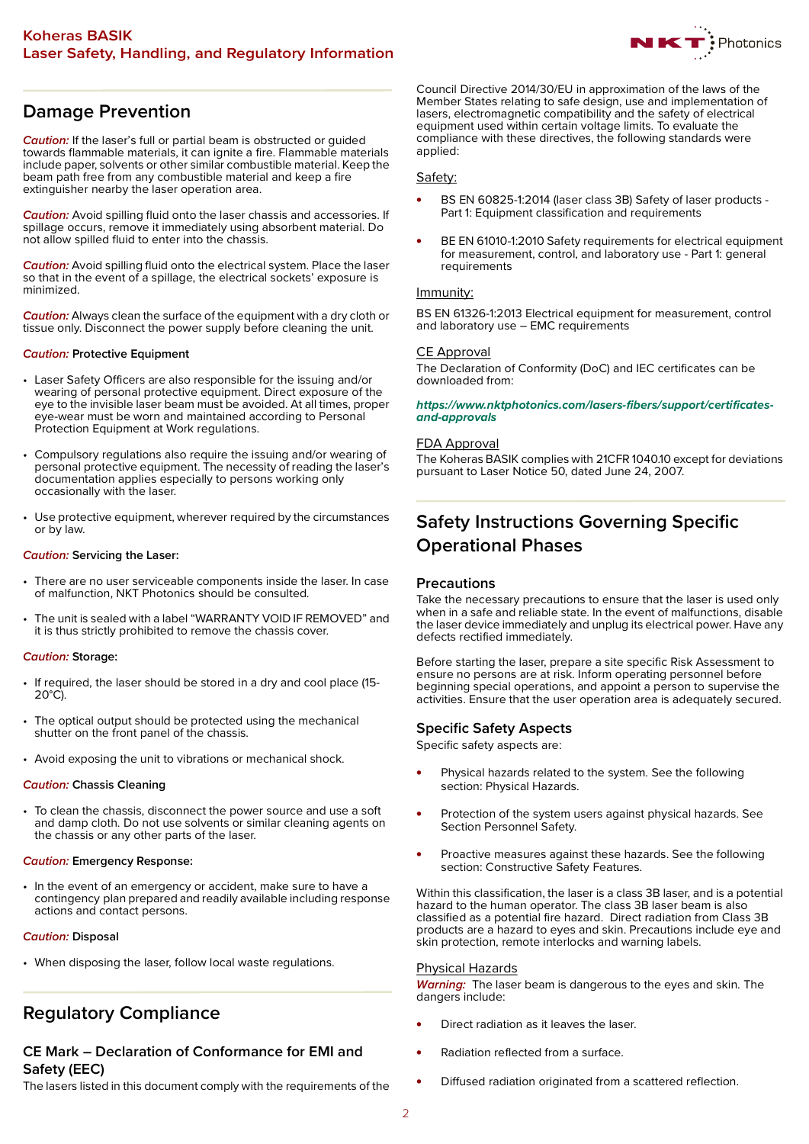

# **Damage Prevention**

**Caution:** If the laser's full or partial beam is obstructed or guided towards flammable materials, it can ignite a fire. Flammable materials include paper, solvents or other similar combustible material. Keep the beam path free from any combustible material and keep a fire extinguisher nearby the laser operation area.

**Caution:** Avoid spilling fluid onto the laser chassis and accessories. If spillage occurs, remove it immediately using absorbent material. Do not allow spilled fluid to enter into the chassis.

**Caution:** Avoid spilling fluid onto the electrical system. Place the laser so that in the event of a spillage, the electrical sockets' exposure is minimized.

**Caution:** Always clean the surface of the equipment with a dry cloth or tissue only. Disconnect the power supply before cleaning the unit.

### **Caution: Protective Equipment**

- Laser Safety Officers are also responsible for the issuing and/or wearing of personal protective equipment. Direct exposure of the eye to the invisible laser beam must be avoided. At all times, proper eye-wear must be worn and maintained according to Personal Protection Equipment at Work regulations.
- Compulsory regulations also require the issuing and/or wearing of personal protective equipment. The necessity of reading the laser's documentation applies especially to persons working only occasionally with the laser.
- Use protective equipment, wherever required by the circumstances or by law.

# **Caution: Servicing the Laser:**

- There are no user serviceable components inside the laser. In case of malfunction, NKT Photonics should be consulted.
- The unit is sealed with a label "WARRANTY VOID IF REMOVED" and it is thus strictly prohibited to remove the chassis cover.

### **Caution: Storage:**

- If required, the laser should be stored in a dry and cool place (15-  $20^{\circ}$ C).
- The optical output should be protected using the mechanical shutter on the front panel of the chassis.
- Avoid exposing the unit to vibrations or mechanical shock.

### **Caution: Chassis Cleaning**

• To clean the chassis, disconnect the power source and use a soft and damp cloth. Do not use solvents or similar cleaning agents on the chassis or any other parts of the laser.

### **Caution: Emergency Response:**

• In the event of an emergency or accident, make sure to have a contingency plan prepared and readily available including response actions and contact persons.

### **Caution: Disposal**

• When disposing the laser, follow local waste regulations.

# <span id="page-1-0"></span>**Regulatory Compliance**

# **CE Mark – Declaration of Conformance for EMI and Safety (EEC)**

The lasers listed in this document comply with the requirements of the

Council Directive 2014/30/EU in approximation of the laws of the Member States relating to safe design, use and implementation of lasers, electromagnetic compatibility and the safety of electrical equipment used within certain voltage limits. To evaluate the compliance with these directives, the following standards were applied:

# Safety:

- BS EN 60825-1:2014 (laser class 3B) Safety of laser products Part 1: Equipment classification and requirements
- BE EN 61010-1:2010 Safety requirements for electrical equipment for measurement, control, and laboratory use - Part 1: general requirements

# Immunity:

BS EN 61326-1:2013 Electrical equipment for measurement, control and laboratory use – EMC requirements

# CE Approval

The Declaration of Conformity (DoC) and IEC certificates can be downloaded from:

#### **[https://www.nktphotonics.com/lasers-fibers/support/certificates](https://www.nktphotonics.com/lasers-fibers/support/certificates-and-approvals)and-approvals**

### FDA Approval

The Koheras BASIK complies with 21CFR 1040.10 except for deviations pursuant to Laser Notice 50, dated June 24, 2007.

# **Safety Instructions Governing Specific Operational Phases**

# **Precautions**

Take the necessary precautions to ensure that the laser is used only when in a safe and reliable state. In the event of malfunctions, disable the laser device immediately and unplug its electrical power. Have any defects rectified immediately.

Before starting the laser, prepare a site specific Risk Assessment to ensure no persons are at risk. Inform operating personnel before beginning special operations, and appoint a person to supervise the activities. Ensure that the user operation area is adequately secured.

# **Specific Safety Aspects**

Specific safety aspects are:

- Physical hazards related to the system. See the following section: Physical Hazards.
- Protection of the system users against physical hazards. See Section Personnel Safety.
- Proactive measures against these hazards. See the following section: Constructive Safety Features.

Within this classification, the laser is a class 3B laser, and is a potential hazard to the human operator. The class 3B laser beam is also classified as a potential fire hazard. Direct radiation from Class 3B products are a hazard to eyes and skin. Precautions include eye and skin protection, remote interlocks and warning labels.

### Physical Hazards

**Warning:** The laser beam is dangerous to the eyes and skin. The dangers include:

- Direct radiation as it leaves the laser.
- Radiation reflected from a surface.
- Diffused radiation originated from a scattered reflection.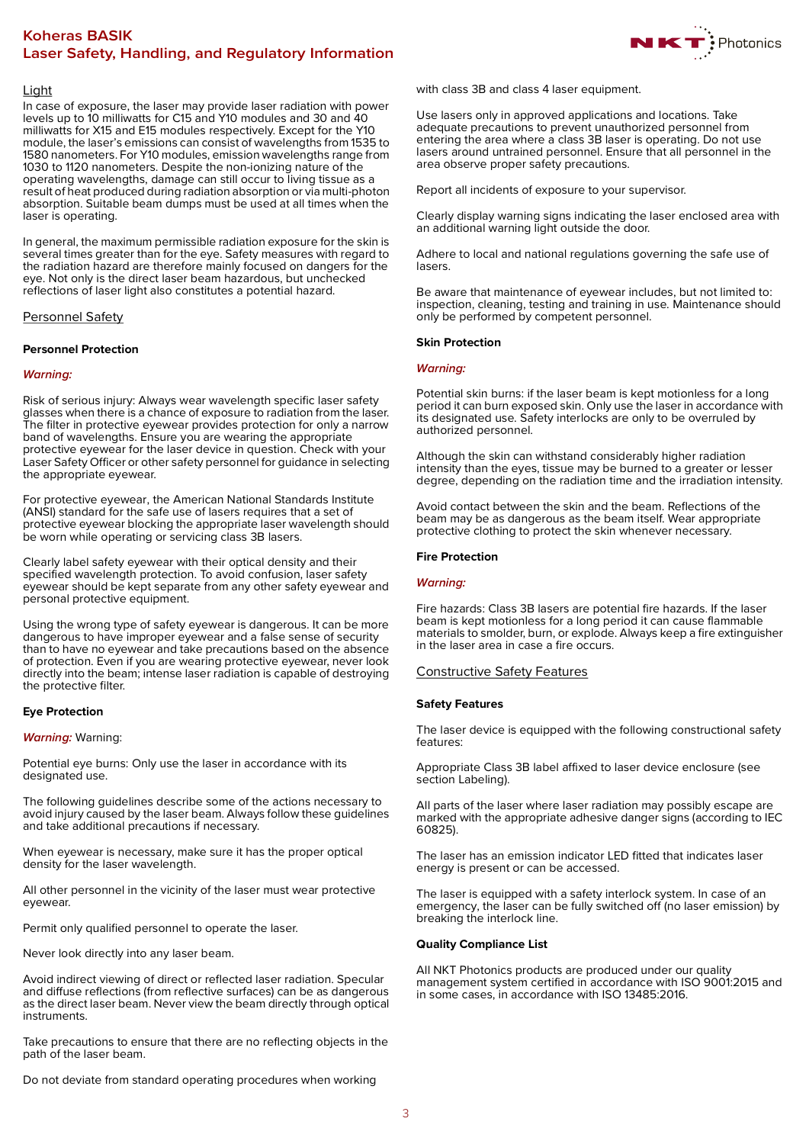# **Koheras BASIK Laser Safety, Handling, and Regulatory Information**



## Light

In case of exposure, the laser may provide laser radiation with power levels up to 10 milliwatts for C15 and Y10 modules and 30 and 40 milliwatts for X15 and E15 modules respectively. Except for the Y10 module, the laser's emissions can consist of wavelengths from 1535 to 1580 nanometers. For Y10 modules, emission wavelengths range from 1030 to 1120 nanometers. Despite the non-ionizing nature of the operating wavelengths, damage can still occur to living tissue as a result of heat produced during radiation absorption or via multi-photon absorption. Suitable beam dumps must be used at all times when the laser is operating.

In general, the maximum permissible radiation exposure for the skin is several times greater than for the eye. Safety measures with regard to the radiation hazard are therefore mainly focused on dangers for the eye. Not only is the direct laser beam hazardous, but unchecked reflections of laser light also constitutes a potential hazard.

# Personnel Safety

### **Personnel Protection**

# **Warning:**

Risk of serious injury: Always wear wavelength specific laser safety glasses when there is a chance of exposure to radiation from the laser. The filter in protective eyewear provides protection for only a narrow band of wavelengths. Ensure you are wearing the appropriate protective eyewear for the laser device in question. Check with your Laser Safety Officer or other safety personnel for guidance in selecting the appropriate eyewear.

For protective eyewear, the American National Standards Institute (ANSI) standard for the safe use of lasers requires that a set of protective eyewear blocking the appropriate laser wavelength should be worn while operating or servicing class 3B lasers.

Clearly label safety eyewear with their optical density and their specified wavelength protection. To avoid confusion, laser safety eyewear should be kept separate from any other safety eyewear and personal protective equipment.

Using the wrong type of safety eyewear is dangerous. It can be more dangerous to have improper eyewear and a false sense of security than to have no eyewear and take precautions based on the absence of protection. Even if you are wearing protective eyewear, never look directly into the beam; intense laser radiation is capable of destroying the protective filter.

### **Eye Protection**

### **Warning:** Warning:

Potential eye burns: Only use the laser in accordance with its designated use.

The following guidelines describe some of the actions necessary to avoid injury caused by the laser beam. Always follow these guidelines and take additional precautions if necessary.

When eyewear is necessary, make sure it has the proper optical density for the laser wavelength.

All other personnel in the vicinity of the laser must wear protective eyewear.

Permit only qualified personnel to operate the laser.

Never look directly into any laser beam.

Avoid indirect viewing of direct or reflected laser radiation. Specular and diffuse reflections (from reflective surfaces) can be as dangerous as the direct laser beam. Never view the beam directly through optical instruments.

Take precautions to ensure that there are no reflecting objects in the path of the laser beam.

Do not deviate from standard operating procedures when working

with class 3B and class 4 laser equipment.

Use lasers only in approved applications and locations. Take adequate precautions to prevent unauthorized personnel from entering the area where a class 3B laser is operating. Do not use lasers around untrained personnel. Ensure that all personnel in the area observe proper safety precautions.

Report all incidents of exposure to your supervisor.

Clearly display warning signs indicating the laser enclosed area with an additional warning light outside the door.

Adhere to local and national regulations governing the safe use of lasers.

Be aware that maintenance of eyewear includes, but not limited to: inspection, cleaning, testing and training in use. Maintenance should only be performed by competent personnel.

### **Skin Protection**

# **Warning:**

Potential skin burns: if the laser beam is kept motionless for a long period it can burn exposed skin. Only use the laser in accordance with its designated use. Safety interlocks are only to be overruled by authorized personnel.

Although the skin can withstand considerably higher radiation intensity than the eyes, tissue may be burned to a greater or lesser degree, depending on the radiation time and the irradiation intensity.

Avoid contact between the skin and the beam. Reflections of the beam may be as dangerous as the beam itself. Wear appropriate protective clothing to protect the skin whenever necessary.

# **Fire Protection**

### **Warning:**

Fire hazards: Class 3B lasers are potential fire hazards. If the laser beam is kept motionless for a long period it can cause flammable materials to smolder, burn, or explode. Always keep a fire extinguisher in the laser area in case a fire occurs.

### Constructive Safety Features

### **Safety Features**

The laser device is equipped with the following constructional safety features:

Appropriate Class 3B label affixed to laser device enclosure (see section Labeling).

All parts of the laser where laser radiation may possibly escape are marked with the appropriate adhesive danger signs (according to IEC 60825).

The laser has an emission indicator LED fitted that indicates laser energy is present or can be accessed.

The laser is equipped with a safety interlock system. In case of an emergency, the laser can be fully switched off (no laser emission) by breaking the interlock line.

### **Quality Compliance List**

All NKT Photonics products are produced under our quality management system certified in accordance with ISO 9001:2015 and in some cases, in accordance with ISO 13485:2016.